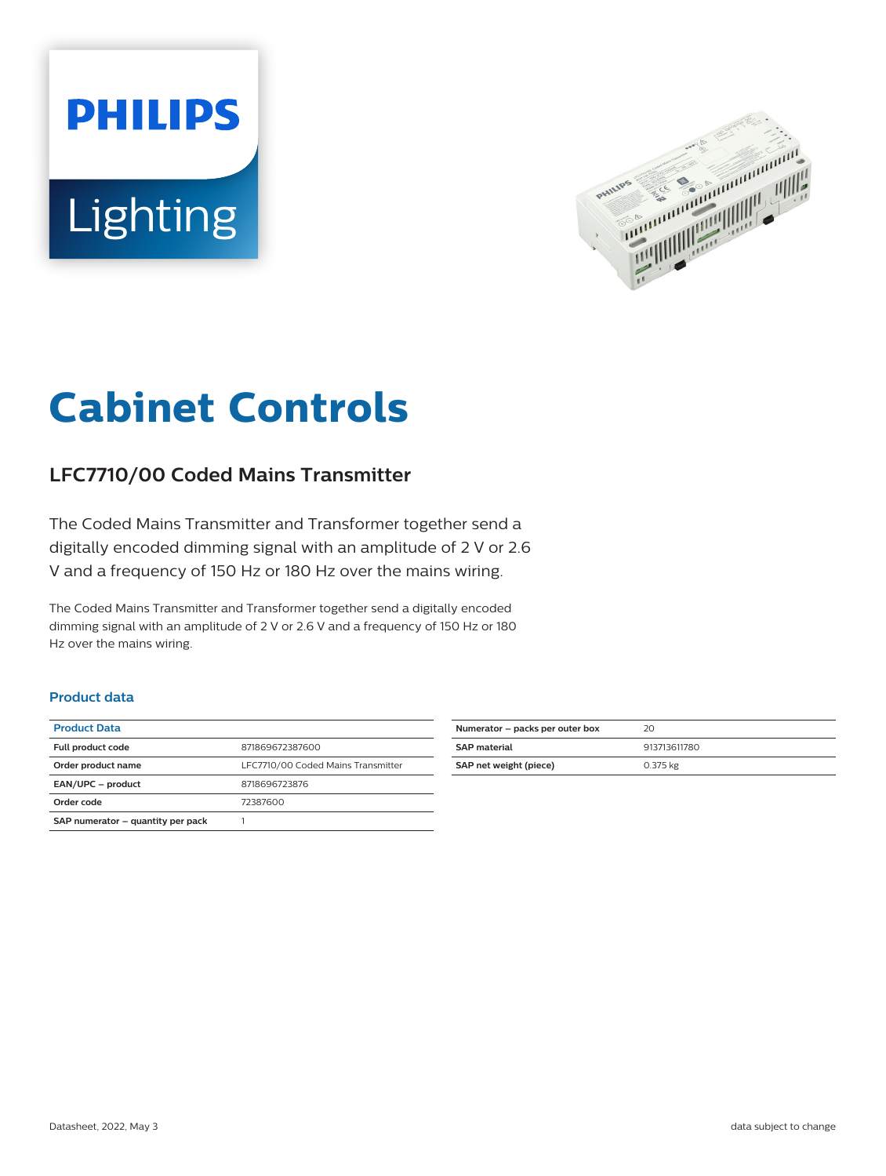



# **Cabinet Controls**

## **LFC7710/00 Coded Mains Transmitter**

The Coded Mains Transmitter and Transformer together send a digitally encoded dimming signal with an amplitude of 2 V or 2.6 V and a frequency of 150 Hz or 180 Hz over the mains wiring.

The Coded Mains Transmitter and Transformer together send a digitally encoded dimming signal with an amplitude of 2 V or 2.6 V and a frequency of 150 Hz or 180 Hz over the mains wiring.

#### **Product data**

| <b>Product Data</b>               |                                    |
|-----------------------------------|------------------------------------|
| <b>Full product code</b>          | 871869672387600                    |
| Order product name                | LFC7710/00 Coded Mains Transmitter |
| EAN/UPC - product                 | 8718696723876                      |
| Order code                        | 72387600                           |
| SAP numerator - quantity per pack |                                    |

| Numerator - packs per outer box | 20           |
|---------------------------------|--------------|
| <b>SAP material</b>             | 913713611780 |
| SAP net weight (piece)          | 0.375 kg     |